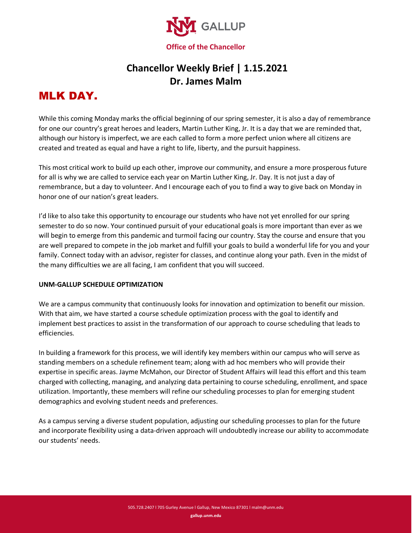

### **Office of the Chancellor**

## **Chancellor Weekly Brief | 1.15.2021 Dr. James Malm**

# MLK DAY.

While this coming Monday marks the official beginning of our spring semester, it is also a day of remembrance for one our country's great heroes and leaders, Martin Luther King, Jr. It is a day that we are reminded that, although our history is imperfect, we are each called to form a more perfect union where all citizens are created and treated as equal and have a right to life, liberty, and the pursuit happiness.

This most critical work to build up each other, improve our community, and ensure a more prosperous future for all is why we are called to service each year on Martin Luther King, Jr. Day. It is not just a day of remembrance, but a day to volunteer. And I encourage each of you to find a way to give back on Monday in honor one of our nation's great leaders.

I'd like to also take this opportunity to encourage our students who have not yet enrolled for our spring semester to do so now. Your continued pursuit of your educational goals is more important than ever as we will begin to emerge from this pandemic and turmoil facing our country. Stay the course and ensure that you are well prepared to compete in the job market and fulfill your goals to build a wonderful life for you and your family. Connect today with an advisor, register for classes, and continue along your path. Even in the midst of the many difficulties we are all facing, I am confident that you will succeed.

### **UNM-GALLUP SCHEDULE OPTIMIZATION**

We are a campus community that continuously looks for innovation and optimization to benefit our mission. With that aim, we have started a course schedule optimization process with the goal to identify and implement best practices to assist in the transformation of our approach to course scheduling that leads to efficiencies.

In building a framework for this process, we will identify key members within our campus who will serve as standing members on a schedule refinement team; along with ad hoc members who will provide their expertise in specific areas. Jayme McMahon, our Director of Student Affairs will lead this effort and this team charged with collecting, managing, and analyzing data pertaining to course scheduling, enrollment, and space utilization. Importantly, these members will refine our scheduling processes to plan for emerging student demographics and evolving student needs and preferences.

As a campus serving a diverse student population, adjusting our scheduling processes to plan for the future and incorporate flexibility using a data-driven approach will undoubtedly increase our ability to accommodate our students' needs.